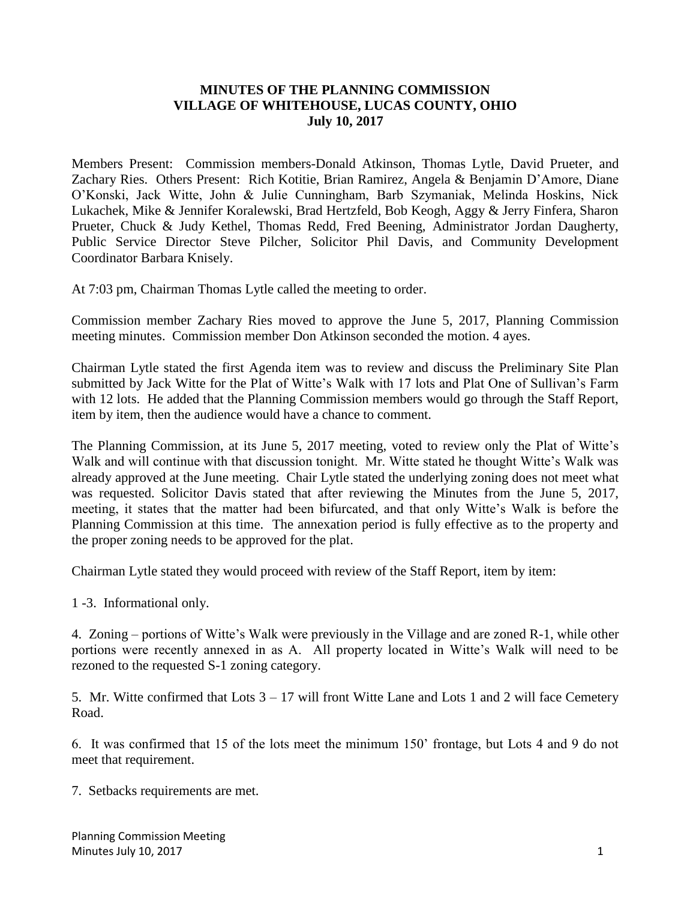## **MINUTES OF THE PLANNING COMMISSION VILLAGE OF WHITEHOUSE, LUCAS COUNTY, OHIO July 10, 2017**

Members Present: Commission members-Donald Atkinson, Thomas Lytle, David Prueter, and Zachary Ries. Others Present: Rich Kotitie, Brian Ramirez, Angela & Benjamin D'Amore, Diane O'Konski, Jack Witte, John & Julie Cunningham, Barb Szymaniak, Melinda Hoskins, Nick Lukachek, Mike & Jennifer Koralewski, Brad Hertzfeld, Bob Keogh, Aggy & Jerry Finfera, Sharon Prueter, Chuck & Judy Kethel, Thomas Redd, Fred Beening, Administrator Jordan Daugherty, Public Service Director Steve Pilcher, Solicitor Phil Davis, and Community Development Coordinator Barbara Knisely.

At 7:03 pm, Chairman Thomas Lytle called the meeting to order.

Commission member Zachary Ries moved to approve the June 5, 2017, Planning Commission meeting minutes. Commission member Don Atkinson seconded the motion. 4 ayes.

Chairman Lytle stated the first Agenda item was to review and discuss the Preliminary Site Plan submitted by Jack Witte for the Plat of Witte's Walk with 17 lots and Plat One of Sullivan's Farm with 12 lots. He added that the Planning Commission members would go through the Staff Report, item by item, then the audience would have a chance to comment.

The Planning Commission, at its June 5, 2017 meeting, voted to review only the Plat of Witte's Walk and will continue with that discussion tonight. Mr. Witte stated he thought Witte's Walk was already approved at the June meeting. Chair Lytle stated the underlying zoning does not meet what was requested. Solicitor Davis stated that after reviewing the Minutes from the June 5, 2017, meeting, it states that the matter had been bifurcated, and that only Witte's Walk is before the Planning Commission at this time. The annexation period is fully effective as to the property and the proper zoning needs to be approved for the plat.

Chairman Lytle stated they would proceed with review of the Staff Report, item by item:

1 -3. Informational only.

4. Zoning – portions of Witte's Walk were previously in the Village and are zoned R-1, while other portions were recently annexed in as A. All property located in Witte's Walk will need to be rezoned to the requested S-1 zoning category.

5. Mr. Witte confirmed that Lots  $3 - 17$  will front Witte Lane and Lots 1 and 2 will face Cemetery Road.

6. It was confirmed that 15 of the lots meet the minimum 150' frontage, but Lots 4 and 9 do not meet that requirement.

7. Setbacks requirements are met.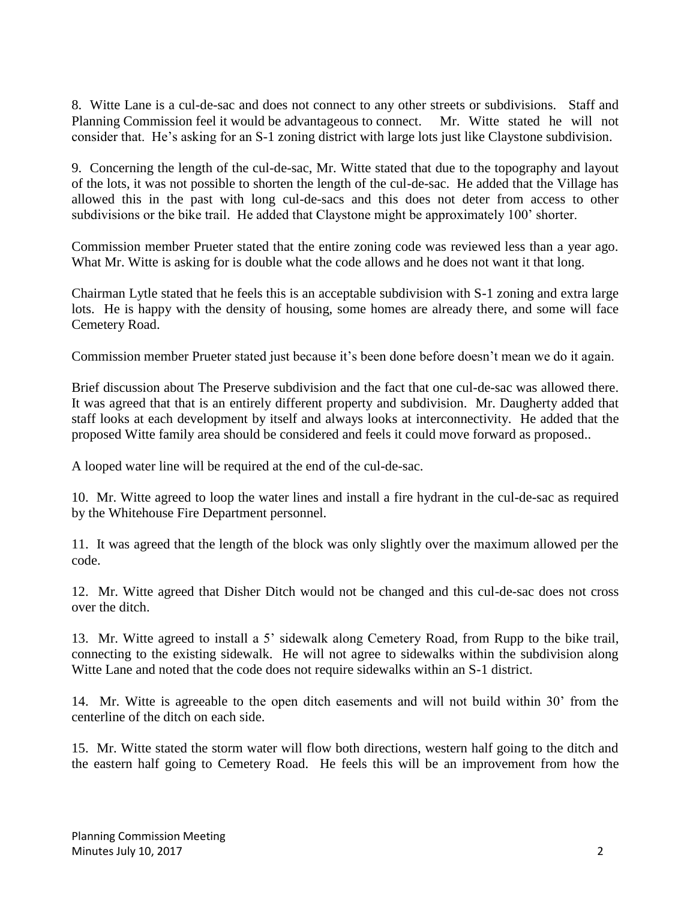8. Witte Lane is a cul-de-sac and does not connect to any other streets or subdivisions. Staff and Planning Commission feel it would be advantageous to connect. Mr. Witte stated he will not consider that. He's asking for an S-1 zoning district with large lots just like Claystone subdivision.

9. Concerning the length of the cul-de-sac, Mr. Witte stated that due to the topography and layout of the lots, it was not possible to shorten the length of the cul-de-sac. He added that the Village has allowed this in the past with long cul-de-sacs and this does not deter from access to other subdivisions or the bike trail. He added that Claystone might be approximately 100' shorter.

Commission member Prueter stated that the entire zoning code was reviewed less than a year ago. What Mr. Witte is asking for is double what the code allows and he does not want it that long.

Chairman Lytle stated that he feels this is an acceptable subdivision with S-1 zoning and extra large lots. He is happy with the density of housing, some homes are already there, and some will face Cemetery Road.

Commission member Prueter stated just because it's been done before doesn't mean we do it again.

Brief discussion about The Preserve subdivision and the fact that one cul-de-sac was allowed there. It was agreed that that is an entirely different property and subdivision. Mr. Daugherty added that staff looks at each development by itself and always looks at interconnectivity. He added that the proposed Witte family area should be considered and feels it could move forward as proposed..

A looped water line will be required at the end of the cul-de-sac.

10. Mr. Witte agreed to loop the water lines and install a fire hydrant in the cul-de-sac as required by the Whitehouse Fire Department personnel.

11. It was agreed that the length of the block was only slightly over the maximum allowed per the code.

12. Mr. Witte agreed that Disher Ditch would not be changed and this cul-de-sac does not cross over the ditch.

13. Mr. Witte agreed to install a 5' sidewalk along Cemetery Road, from Rupp to the bike trail, connecting to the existing sidewalk. He will not agree to sidewalks within the subdivision along Witte Lane and noted that the code does not require sidewalks within an S-1 district.

14. Mr. Witte is agreeable to the open ditch easements and will not build within 30' from the centerline of the ditch on each side.

15. Mr. Witte stated the storm water will flow both directions, western half going to the ditch and the eastern half going to Cemetery Road. He feels this will be an improvement from how the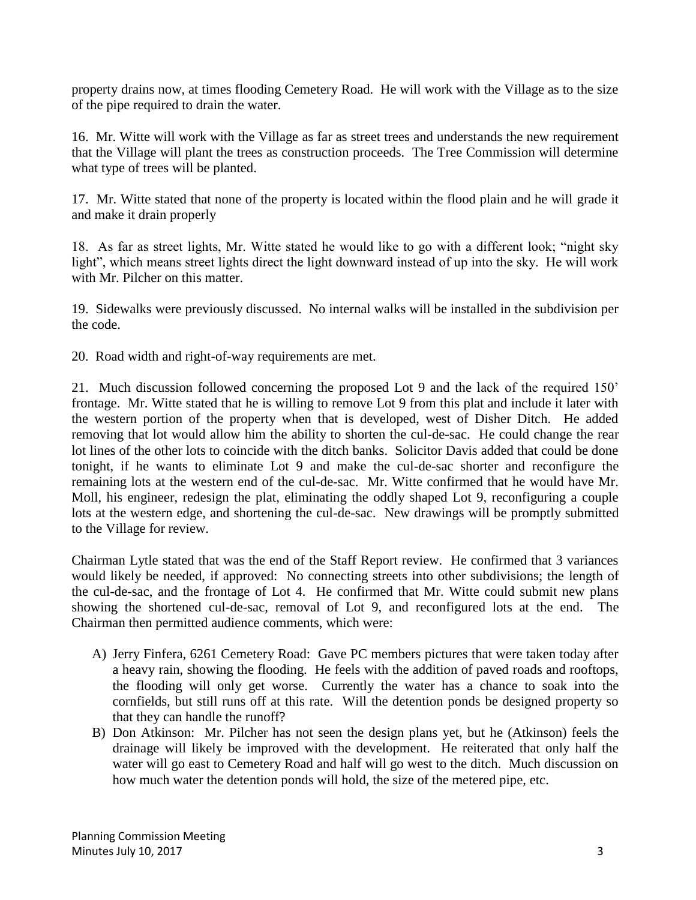property drains now, at times flooding Cemetery Road. He will work with the Village as to the size of the pipe required to drain the water.

16. Mr. Witte will work with the Village as far as street trees and understands the new requirement that the Village will plant the trees as construction proceeds. The Tree Commission will determine what type of trees will be planted.

17. Mr. Witte stated that none of the property is located within the flood plain and he will grade it and make it drain properly

18. As far as street lights, Mr. Witte stated he would like to go with a different look; "night sky light", which means street lights direct the light downward instead of up into the sky. He will work with Mr. Pilcher on this matter.

19. Sidewalks were previously discussed. No internal walks will be installed in the subdivision per the code.

20. Road width and right-of-way requirements are met.

21. Much discussion followed concerning the proposed Lot 9 and the lack of the required 150' frontage. Mr. Witte stated that he is willing to remove Lot 9 from this plat and include it later with the western portion of the property when that is developed, west of Disher Ditch. He added removing that lot would allow him the ability to shorten the cul-de-sac. He could change the rear lot lines of the other lots to coincide with the ditch banks. Solicitor Davis added that could be done tonight, if he wants to eliminate Lot 9 and make the cul-de-sac shorter and reconfigure the remaining lots at the western end of the cul-de-sac. Mr. Witte confirmed that he would have Mr. Moll, his engineer, redesign the plat, eliminating the oddly shaped Lot 9, reconfiguring a couple lots at the western edge, and shortening the cul-de-sac. New drawings will be promptly submitted to the Village for review.

Chairman Lytle stated that was the end of the Staff Report review. He confirmed that 3 variances would likely be needed, if approved: No connecting streets into other subdivisions; the length of the cul-de-sac, and the frontage of Lot 4. He confirmed that Mr. Witte could submit new plans showing the shortened cul-de-sac, removal of Lot 9, and reconfigured lots at the end. The Chairman then permitted audience comments, which were:

- A) Jerry Finfera, 6261 Cemetery Road: Gave PC members pictures that were taken today after a heavy rain, showing the flooding. He feels with the addition of paved roads and rooftops, the flooding will only get worse. Currently the water has a chance to soak into the cornfields, but still runs off at this rate. Will the detention ponds be designed property so that they can handle the runoff?
- B) Don Atkinson: Mr. Pilcher has not seen the design plans yet, but he (Atkinson) feels the drainage will likely be improved with the development. He reiterated that only half the water will go east to Cemetery Road and half will go west to the ditch. Much discussion on how much water the detention ponds will hold, the size of the metered pipe, etc.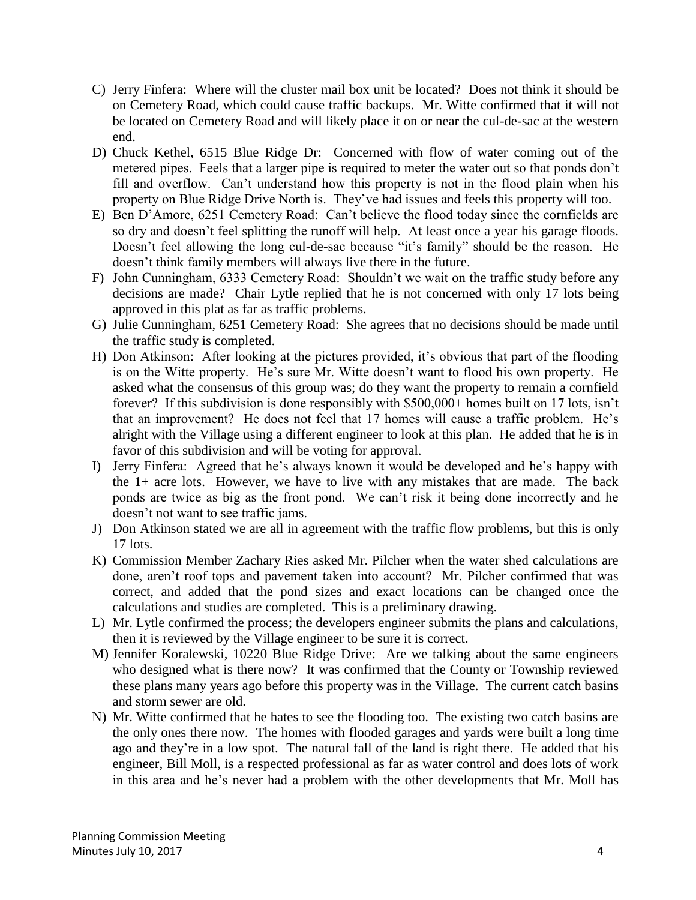- C) Jerry Finfera: Where will the cluster mail box unit be located? Does not think it should be on Cemetery Road, which could cause traffic backups. Mr. Witte confirmed that it will not be located on Cemetery Road and will likely place it on or near the cul-de-sac at the western end.
- D) Chuck Kethel, 6515 Blue Ridge Dr: Concerned with flow of water coming out of the metered pipes. Feels that a larger pipe is required to meter the water out so that ponds don't fill and overflow. Can't understand how this property is not in the flood plain when his property on Blue Ridge Drive North is. They've had issues and feels this property will too.
- E) Ben D'Amore, 6251 Cemetery Road: Can't believe the flood today since the cornfields are so dry and doesn't feel splitting the runoff will help. At least once a year his garage floods. Doesn't feel allowing the long cul-de-sac because "it's family" should be the reason. He doesn't think family members will always live there in the future.
- F) John Cunningham, 6333 Cemetery Road: Shouldn't we wait on the traffic study before any decisions are made? Chair Lytle replied that he is not concerned with only 17 lots being approved in this plat as far as traffic problems.
- G) Julie Cunningham, 6251 Cemetery Road: She agrees that no decisions should be made until the traffic study is completed.
- H) Don Atkinson: After looking at the pictures provided, it's obvious that part of the flooding is on the Witte property. He's sure Mr. Witte doesn't want to flood his own property. He asked what the consensus of this group was; do they want the property to remain a cornfield forever? If this subdivision is done responsibly with \$500,000+ homes built on 17 lots, isn't that an improvement? He does not feel that 17 homes will cause a traffic problem. He's alright with the Village using a different engineer to look at this plan. He added that he is in favor of this subdivision and will be voting for approval.
- I) Jerry Finfera: Agreed that he's always known it would be developed and he's happy with the 1+ acre lots. However, we have to live with any mistakes that are made. The back ponds are twice as big as the front pond. We can't risk it being done incorrectly and he doesn't not want to see traffic jams.
- J) Don Atkinson stated we are all in agreement with the traffic flow problems, but this is only 17 lots.
- K) Commission Member Zachary Ries asked Mr. Pilcher when the water shed calculations are done, aren't roof tops and pavement taken into account? Mr. Pilcher confirmed that was correct, and added that the pond sizes and exact locations can be changed once the calculations and studies are completed. This is a preliminary drawing.
- L) Mr. Lytle confirmed the process; the developers engineer submits the plans and calculations, then it is reviewed by the Village engineer to be sure it is correct.
- M) Jennifer Koralewski, 10220 Blue Ridge Drive: Are we talking about the same engineers who designed what is there now? It was confirmed that the County or Township reviewed these plans many years ago before this property was in the Village. The current catch basins and storm sewer are old.
- N) Mr. Witte confirmed that he hates to see the flooding too. The existing two catch basins are the only ones there now. The homes with flooded garages and yards were built a long time ago and they're in a low spot. The natural fall of the land is right there. He added that his engineer, Bill Moll, is a respected professional as far as water control and does lots of work in this area and he's never had a problem with the other developments that Mr. Moll has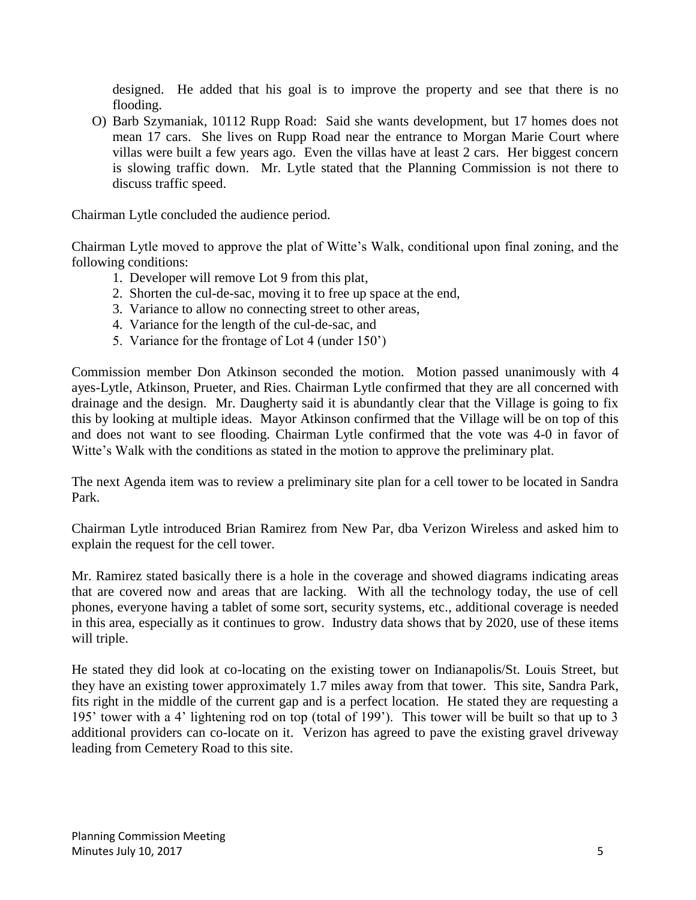designed. He added that his goal is to improve the property and see that there is no flooding.

O) Barb Szymaniak, 10112 Rupp Road: Said she wants development, but 17 homes does not mean 17 cars. She lives on Rupp Road near the entrance to Morgan Marie Court where villas were built a few years ago. Even the villas have at least 2 cars. Her biggest concern is slowing traffic down. Mr. Lytle stated that the Planning Commission is not there to discuss traffic speed.

Chairman Lytle concluded the audience period.

Chairman Lytle moved to approve the plat of Witte's Walk, conditional upon final zoning, and the following conditions:

- 1. Developer will remove Lot 9 from this plat,
- 2. Shorten the cul-de-sac, moving it to free up space at the end,
- 3. Variance to allow no connecting street to other areas,
- 4. Variance for the length of the cul-de-sac, and
- 5. Variance for the frontage of Lot 4 (under 150')

Commission member Don Atkinson seconded the motion. Motion passed unanimously with 4 ayes-Lytle, Atkinson, Prueter, and Ries. Chairman Lytle confirmed that they are all concerned with drainage and the design. Mr. Daugherty said it is abundantly clear that the Village is going to fix this by looking at multiple ideas. Mayor Atkinson confirmed that the Village will be on top of this and does not want to see flooding. Chairman Lytle confirmed that the vote was 4-0 in favor of Witte's Walk with the conditions as stated in the motion to approve the preliminary plat.

The next Agenda item was to review a preliminary site plan for a cell tower to be located in Sandra Park.

Chairman Lytle introduced Brian Ramirez from New Par, dba Verizon Wireless and asked him to explain the request for the cell tower.

Mr. Ramirez stated basically there is a hole in the coverage and showed diagrams indicating areas that are covered now and areas that are lacking. With all the technology today, the use of cell phones, everyone having a tablet of some sort, security systems, etc., additional coverage is needed in this area, especially as it continues to grow. Industry data shows that by 2020, use of these items will triple.

He stated they did look at co-locating on the existing tower on Indianapolis/St. Louis Street, but they have an existing tower approximately 1.7 miles away from that tower. This site, Sandra Park, fits right in the middle of the current gap and is a perfect location. He stated they are requesting a 195' tower with a 4' lightening rod on top (total of 199'). This tower will be built so that up to 3 additional providers can co-locate on it. Verizon has agreed to pave the existing gravel driveway leading from Cemetery Road to this site.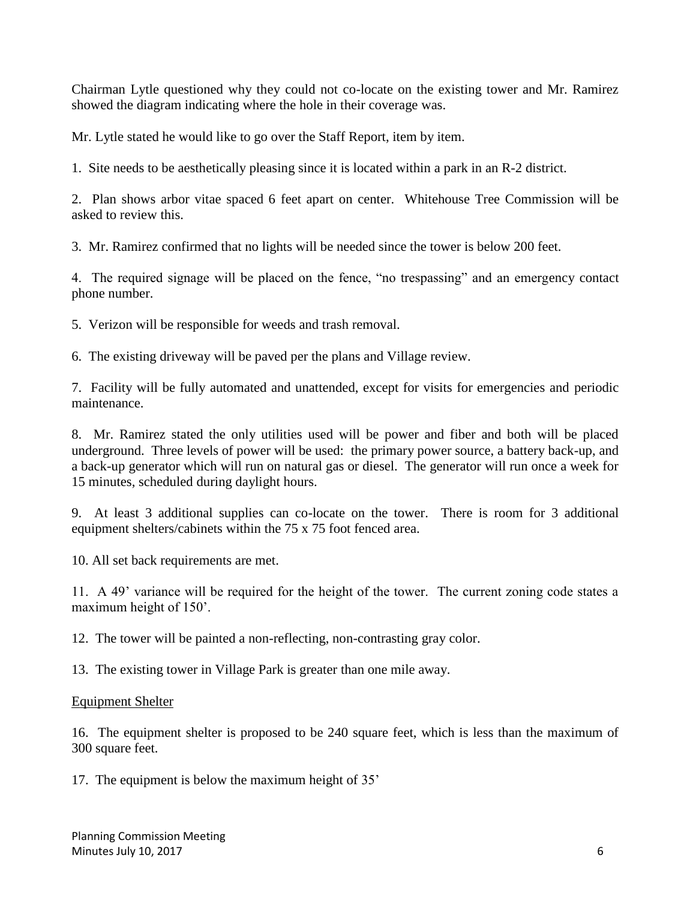Chairman Lytle questioned why they could not co-locate on the existing tower and Mr. Ramirez showed the diagram indicating where the hole in their coverage was.

Mr. Lytle stated he would like to go over the Staff Report, item by item.

1. Site needs to be aesthetically pleasing since it is located within a park in an R-2 district.

2. Plan shows arbor vitae spaced 6 feet apart on center. Whitehouse Tree Commission will be asked to review this.

3. Mr. Ramirez confirmed that no lights will be needed since the tower is below 200 feet.

4. The required signage will be placed on the fence, "no trespassing" and an emergency contact phone number.

5. Verizon will be responsible for weeds and trash removal.

6. The existing driveway will be paved per the plans and Village review.

7. Facility will be fully automated and unattended, except for visits for emergencies and periodic maintenance.

8. Mr. Ramirez stated the only utilities used will be power and fiber and both will be placed underground. Three levels of power will be used: the primary power source, a battery back-up, and a back-up generator which will run on natural gas or diesel. The generator will run once a week for 15 minutes, scheduled during daylight hours.

9. At least 3 additional supplies can co-locate on the tower. There is room for 3 additional equipment shelters/cabinets within the 75 x 75 foot fenced area.

10. All set back requirements are met.

11. A 49' variance will be required for the height of the tower. The current zoning code states a maximum height of 150'.

12. The tower will be painted a non-reflecting, non-contrasting gray color.

13. The existing tower in Village Park is greater than one mile away.

## Equipment Shelter

16. The equipment shelter is proposed to be 240 square feet, which is less than the maximum of 300 square feet.

17. The equipment is below the maximum height of 35'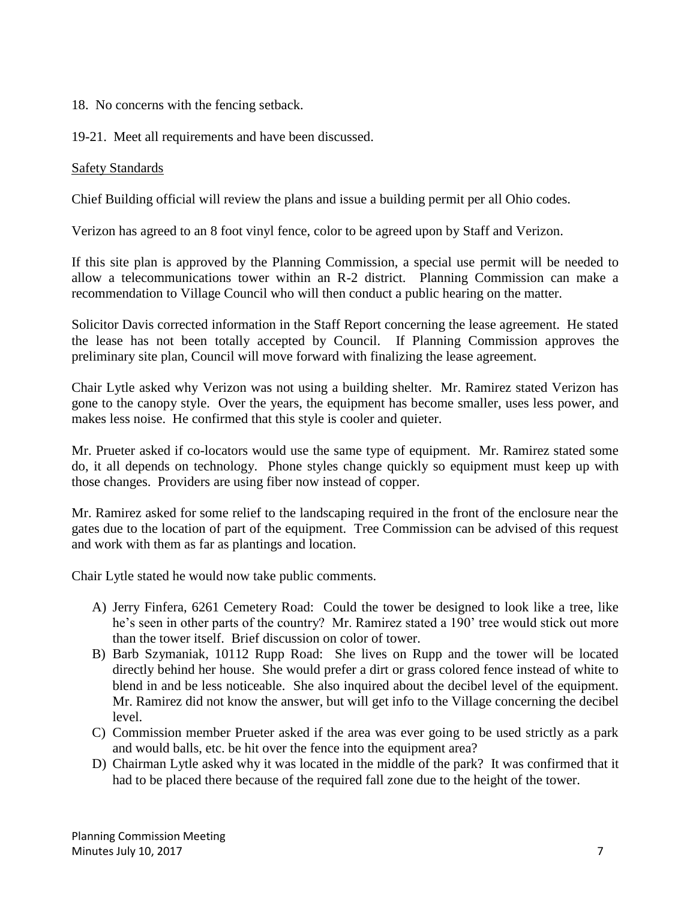18. No concerns with the fencing setback.

19-21. Meet all requirements and have been discussed.

## Safety Standards

Chief Building official will review the plans and issue a building permit per all Ohio codes.

Verizon has agreed to an 8 foot vinyl fence, color to be agreed upon by Staff and Verizon.

If this site plan is approved by the Planning Commission, a special use permit will be needed to allow a telecommunications tower within an R-2 district. Planning Commission can make a recommendation to Village Council who will then conduct a public hearing on the matter.

Solicitor Davis corrected information in the Staff Report concerning the lease agreement. He stated the lease has not been totally accepted by Council. If Planning Commission approves the preliminary site plan, Council will move forward with finalizing the lease agreement.

Chair Lytle asked why Verizon was not using a building shelter. Mr. Ramirez stated Verizon has gone to the canopy style. Over the years, the equipment has become smaller, uses less power, and makes less noise. He confirmed that this style is cooler and quieter.

Mr. Prueter asked if co-locators would use the same type of equipment. Mr. Ramirez stated some do, it all depends on technology. Phone styles change quickly so equipment must keep up with those changes. Providers are using fiber now instead of copper.

Mr. Ramirez asked for some relief to the landscaping required in the front of the enclosure near the gates due to the location of part of the equipment. Tree Commission can be advised of this request and work with them as far as plantings and location.

Chair Lytle stated he would now take public comments.

- A) Jerry Finfera, 6261 Cemetery Road: Could the tower be designed to look like a tree, like he's seen in other parts of the country? Mr. Ramirez stated a 190' tree would stick out more than the tower itself. Brief discussion on color of tower.
- B) Barb Szymaniak, 10112 Rupp Road: She lives on Rupp and the tower will be located directly behind her house. She would prefer a dirt or grass colored fence instead of white to blend in and be less noticeable. She also inquired about the decibel level of the equipment. Mr. Ramirez did not know the answer, but will get info to the Village concerning the decibel level.
- C) Commission member Prueter asked if the area was ever going to be used strictly as a park and would balls, etc. be hit over the fence into the equipment area?
- D) Chairman Lytle asked why it was located in the middle of the park? It was confirmed that it had to be placed there because of the required fall zone due to the height of the tower.